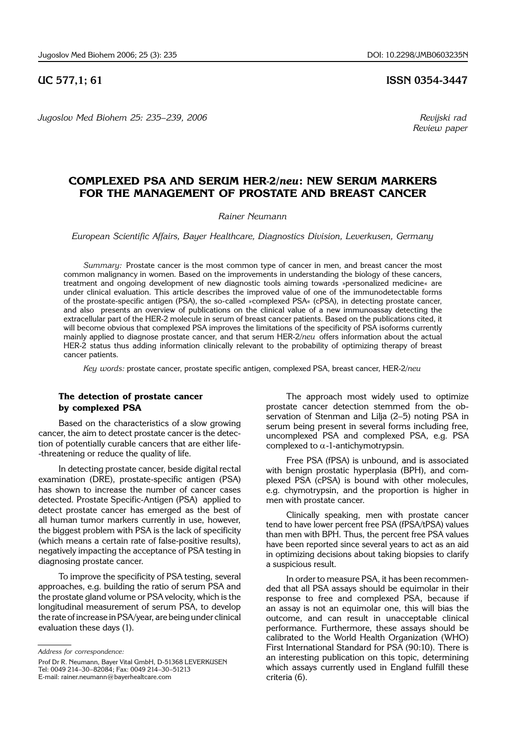*Jugoslov Med Biohem 25: 235–239, 2006* Revijski rad *Revijski rad <i>Revijski rad Revijski rad Revijski rad Revijski rad* 

# **UC 577,1; 61 ISSN 0354-3447**

 *Review paper*

# **COMPLEXED PSA AND SERUM HER**-**2/***neu***: NEW SERUM MARKERS FOR THE MANAGEMENT OF PROSTATE AND BREAST CANCER**

*Rainer Neumann*

*European Scientific Affairs, Bayer Healthcare, Diagnostics Division, Leverkusen, Germany*

*Summary:* Prostate cancer is the most common type of cancer in men, and breast cancer the most common malignancy in women. Based on the improvements in understanding the biology of these cancers, treatment and ongoing development of new diagnostic tools aiming towards »personalized medicine« are under clinical evaluation. This article describes the improved value of one of the immunodetectable forms of the prostate-specific antigen (PSA), the so-called »complexed PSA« (cPSA), in detecting prostate cancer, and also presents an overview of publications on the clinical value of a new immunoassay detecting the extracellular part of the HER-2 molecule in serum of breast cancer patients. Based on the publications cited, it will become obvious that complexed PSA improves the limitations of the specificity of PSA isoforms currently mainly applied to diagnose prostate cancer, and that serum HER-2/*neu* offers information about the actual HER-2 status thus adding information clinically relevant to the probability of optimizing therapy of breast cancer patients.

*Key words:* prostate cancer, prostate specific antigen, complexed PSA, breast cancer, HER-2/*neu*

# **The detection of prostate cancer by complexed PSA**

Based on the characteristics of a slow growing cancer, the aim to detect prostate cancer is the detection of potentially curable cancers that are either life- -threatening or reduce the quality of life.

In detecting prostate cancer, beside digital rectal examination (DRE), prostate-specific antigen (PSA) has shown to increase the number of cancer cases detected. Prostate Specific-Antigen (PSA) applied to detect prostate cancer has emerged as the best of all human tumor markers currently in use, however, the biggest problem with PSA is the lack of specificity (which means a certain rate of false-positive results), negatively impacting the acceptance of PSA testing in diagnosing prostate cancer.

To improve the specificity of PSA testing, several approaches, e.g. building the ratio of serum PSA and the prostate gland volume or PSA velocity, which is the longitudinal measurement of serum PSA, to develop the rate of increase in PSA/year, are being under clinical evaluation these days (1).

The approach most widely used to optimize prostate cancer detection stemmed from the observation of Stenman and Lilja (2–5) noting PSA in serum being present in several forms including free, uncomplexed PSA and complexed PSA, e.g. PSA complexed to  $\alpha$ -1-antichymotrypsin.

Free PSA (fPSA) is unbound, and is associated with benign prostatic hyperplasia (BPH), and complexed PSA (cPSA) is bound with other molecules, e.g. chymotrypsin, and the proportion is higher in men with prostate cancer.

Clinically speaking, men with prostate cancer tend to have lower percent free PSA (fPSA/tPSA) values than men with BPH. Thus, the percent free PSA values have been reported since several years to act as an aid in optimizing decisions about taking biopsies to clarify a suspicious result.

In order to measure PSA, it has been recommended that all PSA assays should be equimolar in their response to free and complexed PSA, because if an assay is not an equimolar one, this will bias the outcome, and can result in unacceptable clinical performance. Furthermore, these assays should be calibrated to the World Health Organization (WHO) First International Standard for PSA (90:10). There is an interesting publication on this topic, determining which assays currently used in England fulfill these criteria (6).

*Address for correspondence:*

Prof Dr R. Neumann, Bayer Vital GmbH, D-51368 LEVERKUSEN Tel: 0049 214-30-82084; Fax: 0049 214-30-51213 E-mail: rainer.neumann**@**bayerhealtcare.com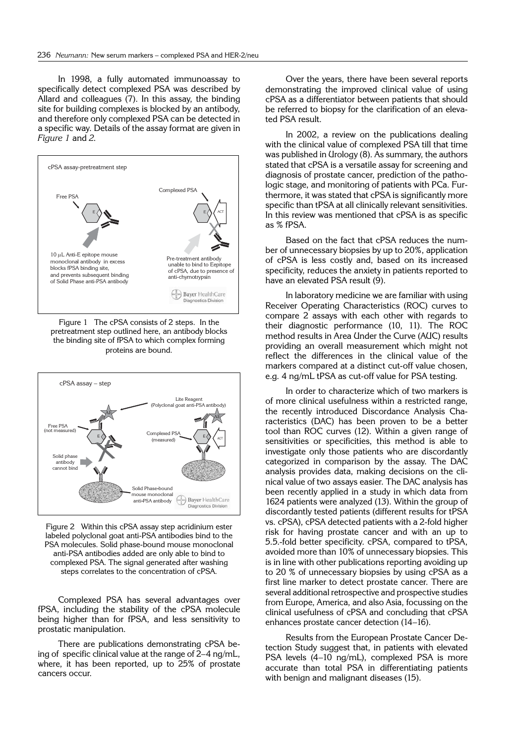In 1998, a fully automated immunoassay to specifically detect complexed PSA was described by Allard and colleagues (7). In this assay, the binding site for building complexes is blocked by an antibody, and therefore only complexed PSA can be detected in a specific way. Details of the assay format are given in *Figure 1* and *2*.



Figure 1 The cPSA consists of 2 steps. In the pretreatment step outlined here, an antibody blocks the binding site of fPSA to which complex forming proteins are bound.



Figure 2 Within this cPSA assay step acridinium ester labeled polyclonal goat anti-PSA antibodies bind to the PSA molecules. Solid phase-bound mouse monoclonal anti-PSA antibodies added are only able to bind to complexed PSA. The signal generated after washing steps correlates to the concentration of cPSA.

Complexed PSA has several advantages over fPSA, including the stability of the cPSA molecule being higher than for fPSA, and less sensitivity to prostatic manipulation.

There are publications demonstrating cPSA being of specific clinical value at the range of  $2-4$  ng/mL, where, it has been reported, up to 25% of prostate cancers occur.

Over the years, there have been several reports demonstrating the improved clinical value of using cPSA as a differentiator between patients that should be referred to biopsy for the clarification of an elevated PSA result.

In 2002, a review on the publications dealing with the clinical value of complexed PSA till that time was published in Urology (8). As summary, the authors stated that cPSA is a versatile assay for screening and diagnosis of prostate cancer, prediction of the pathologic stage, and monitoring of patients with PCa. Furthermore, it was stated that cPSA is significantly more specific than tPSA at all clinically relevant sensitivities. In this review was mentioned that cPSA is as specific as % fPSA.

Based on the fact that cPSA reduces the number of unnecessary biopsies by up to 20%, application of cPSA is less costly and, based on its increased specificity, reduces the anxiety in patients reported to have an elevated PSA result (9).

In laboratory medicine we are familiar with using Receiver Operating Characteristics (ROC) curves to compare 2 assays with each other with regards to their diagnostic performance (10, 11). The ROC method results in Area Under the Curve (AUC) results providing an overall measurement which might not reflect the differences in the clinical value of the markers compared at a distinct cut-off value chosen, e.g. 4 ng/mL tPSA as cut-off value for PSA testing.

In order to characterize which of two markers is of more clinical usefulness within a restricted range, the recently introduced Discordance Analysis Characteristics (DAC) has been proven to be a better tool than ROC curves (12). Within a given range of sensitivities or specificities, this method is able to investigate only those patients who are discordantly categorized in comparison by the assay. The DAC analysis provides data, making decisions on the clinical value of two assays easier. The DAC analysis has been recently applied in a study in which data from 1624 patients were analyzed (13). Within the group of discordantly tested patients (different results for tPSA vs. cPSA), cPSA detected patients with a 2-fold higher risk for having prostate cancer and with an up to 5.5.-fold better specificity. cPSA, compared to tPSA, avoided more than 10% of unnecessary biopsies. This is in line with other publications reporting avoiding up to 20 % of unnecessary biopsies by using cPSA as a first line marker to detect prostate cancer. There are several additional retrospective and prospective studies from Europe, America, and also Asia, focussing on the clinical usefulness of cPSA and concluding that cPSA enhances prostate cancer detection  $(14–16)$ .

Results from the European Prostate Cancer Detection Study suggest that, in patients with elevated PSA levels (4-10 ng/mL), complexed PSA is more accurate than total PSA in differentiating patients with benign and malignant diseases (15).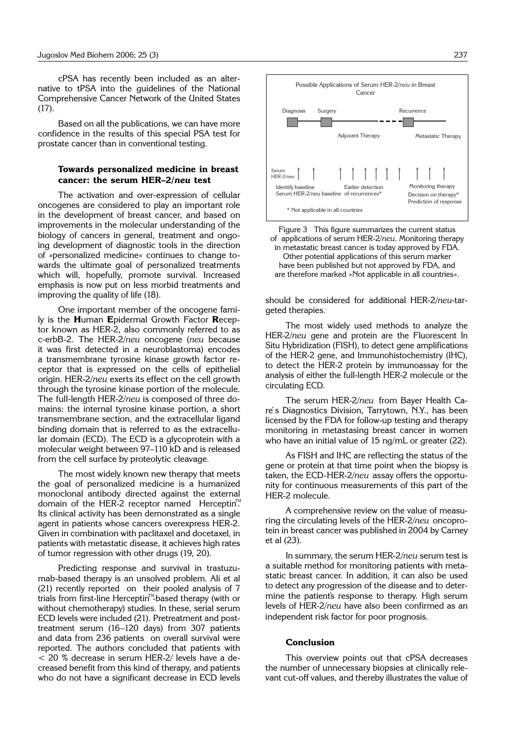cPSA has recently been included as an alternative to tPSA into the guidelines of the National Comprehensive Cancer Network of the United States  $(17)$ .

Based on all the publications, we can have more confidence in the results of this special PSA test for prostate cancer than in conventional testing.

#### **Towards personalized medicine in breast cancer: the serum HER-2/***neu* **test**

The activation and over-expression of cellular oncogenes are considered to play an important role in the development of breast cancer, and based on improvements in the molecular understanding of the biology of cancers in general, treatment and ongoing development of diagnostic tools in the direction of »personalized medicine« continues to change towards the ultimate goal of personalized treatments which will, hopefully, promote survival. Increased emphasis is now put on less morbid treatments and improving the quality of life (18).

One important member of the oncogene family is the **H**uman **E**pidermal Growth Factor **R**eceptor known as HER-2, also commonly referred to as c-erbB-2. The HER-2/*neu* oncogene (*neu* because it was first detected in a neuroblastoma) encodes a transmembrane tyrosine kinase growth factor receptor that is expressed on the cells of epithelial origin. HER-2/*neu* exerts its effect on the cell growth through the tyrosine kinase portion of the molecule. The full-length HER-2/*neu* is composed of three domains: the internal tyrosine kinase portion, a short transmembrane section, and the extracellular ligand binding domain that is referred to as the extracellular domain (ECD). The ECD is a glycoprotein with a molecular weight between 97-110 kD and is released from the cell surface by proteolytic cleavage.

The most widely known new therapy that meets the goal of personalized medicine is a humanized monoclonal antibody directed against the external domain of the HER-2 receptor named Herceptin<sup>™</sup>. Its clinical activity has been demonstrated as a single agent in patients whose cancers overexpress HER-2. Given in combination with paclitaxel and docetaxel, in patients with metastatic disease, it achieves high rates of tumor regression with other drugs (19, 20).

Predicting response and survival in trastuzumab-based therapy is an unsolved problem. Ali et al (21) recently reported on their pooled analysis of 7 trials from first-line Herceptin™-based therapy (with or without chemotherapy) studies. In these, serial serum ECD levels were included (21). Pretreatment and posttreatment serum (16-120 days) from 307 patients and data from 236 patients on overall survival were reported. The authors concluded that patients with < 20 % decrease in serum HER-2/ levels have a decreased benefit from this kind of therapy, and patients who do not have a significant decrease in ECD levels



Figure 3 This figure summarizes the current status of applications of serum HER-2*/neu.* Monitoring therapy in metastatic breast cancer is today approved by FDA. Other potential applications of this serum marker have been published but not approved by FDA, and are therefore marked »Not applicable in all countries«.

should be considered for additional HER-2/*neu*-targeted therapies.

The most widely used methods to analyze the HER-2/*neu* gene and protein are the Fluorescent In Situ Hybridization (FISH), to detect gene amplifications of the HER-2 gene, and Immunohistochemistry (IHC), to detect the HER-2 protein by immunoassay for the analysis of either the full-length HER-2 molecule or the circulating ECD.

The serum HER-2/*neu* from Bayer Health Care' s Diagnostics Division, Tarrytown, N.Y., has been licen sed by the FDA for follow-up testing and therapy monitoring in metastasing breast cancer in women who have an initial value of 15 ng/mL or greater (22).

As FISH and IHC are reflecting the status of the gene or protein at that time point when the biopsy is taken, the ECD-HER-2/*neu* assay offers the opportunity for continuous measurements of this part of the HER-2 molecule.

A comprehensive review on the value of measuring the circulating levels of the HER-2/*neu* oncoprotein in breast cancer was published in 2004 by Carney et al (23).

In summary, the serum HER-2/*neu* serum test is a suitable method for monitoring patients with metastatic breast cancer. In addition, it can also be used to detect any progression of the disease and to determine the patient's response to therapy. High serum levels of HER-2/*neu* have also been confirmed as an independent risk factor for poor prognosis.

#### **Conclusion**

This overview points out that cPSA decreases the number of unnecessary biopsies at clinically relevant cut-off values, and thereby illustrates the value of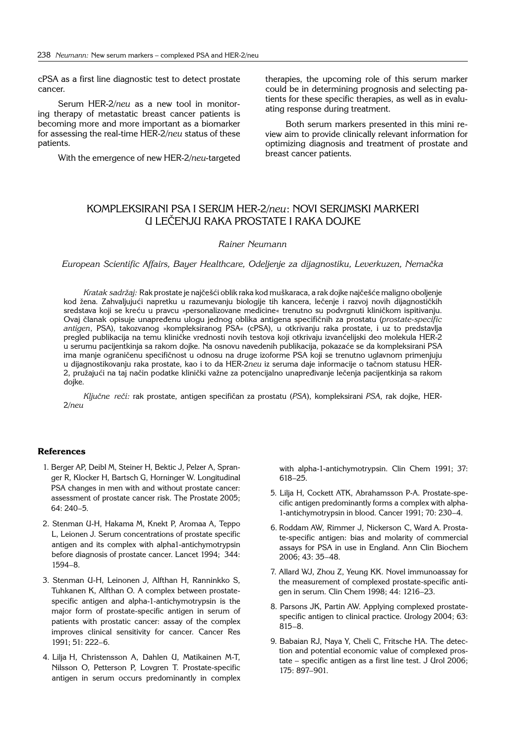cPSA as a first line diagnostic test to detect prostate cancer.

Serum HER-2/*neu* as a new tool in monitoring therapy of metastatic breast cancer patients is becoming more and more important as a biomarker for asse ssing the real-time HER-2/*neu* status of these patients.

With the emergence of new HER-2/*neu*-targeted

therapies, the upcoming role of this serum marker could be in determining prognosis and selecting patients for these specific therapies, as well as in evaluating response during treatment.

Both serum markers presented in this mini review aim to provide clinically relevant information for optimizing diagnosis and treatment of prostate and breast cancer patients.

# KOMPLEKSIRANI PSA I SERUM HER-2/*neu*: NOVI SERUMSKI MARKERI U LE^ENJU RAKA PROSTATE I RAKA DOJKE

#### *Rainer Neumann*

*European Scientific Affairs, Bayer Healthcare, Odeljenje za dijagnostiku, Leverkuzen, Nema~ka*

*Kratak sadržaj: Rak prostate je najčešći oblik raka kod muškaraca, a rak dojke najčešće maligno oboljenje* kod žena. Zahvaljujući napretku u razumevanju biologije tih kancera, lečenje i razvoj novih dijagnostičkih sredstava koji se kreću u pravcu »personalizovane medicine« trenutno su podvrgnuti kliničkom ispitivanju. Ovaj članak opisuje unapređenu ulogu jednog oblika antigena specifičnih za prostatu (prostate-specific *antigen*, PSA), takozvanog »kompleksiranog PSA« (cPSA), u otkrivanju raka prostate, i uz to predstavlja pregled publikacija na temu kliničke vrednosti novih testova koji otkrivaju izvanćelijski deo molekula HER-2 u serumu pacijentkinja sa rakom dojke. Na osnovu navedenih publikacija, pokazaće se da kompleksirani PSA ima manje ograničenu specifičnost u odnosu na druge izoforme PSA koji se trenutno uglavnom primenjuju u dijagnostikovanju raka prostate, kao i to da HER-2neu iz seruma daje informacije o tačnom statusu HER-2, pružajući na taj način podatke klinički važne za potencijalno unapređivanje lečenja pacijentkinja sa rakom dojke.

*Ključne reči:* rak prostate, antigen specifičan za prostatu (PSA), kompleksirani PSA, rak dojke, HER-2/*neu*

### **References**

- 1. Berger AP, Deibl M, Steiner H, Bektic J, Pelzer A, Spranger R, Klocker H, Bartsch G, Horninger W. Longitudinal PSA changes in men with and without prostate cancer: assessment of prostate cancer risk. The Prostate 2005; 64: 240-5.
- 2. Stenman U-H, Hakama M, Knekt P, Aromaa A, Teppo L, Leionen J. Serum concentrations of prostate specific antigen and its complex with alpha1-antichymotrypsin before diagnosis of prostate cancer. Lancet 1994; 344:  $1594 - 8.$
- 3. Stenman U-H, Leinonen J, Alfthan H, Ranninkko S, Tuhkanen K, Alfthan O. A complex between prostatespecific antigen and alpha-1-antichymotrypsin is the major form of prostate-specific antigen in serum of patients with prostatic cancer: assay of the complex improves clinical sensitivity for cancer. Cancer Res 1991; 51: 222-6.
- 4. Lilja H, Christensson A, Dahlen U, Matikainen M-T, Nilsson O, Petterson P, Lovgren T. Prostate-specific antigen in serum occurs predominantly in complex

with alpha-1-antichymotrypsin. Clin Chem 1991; 37: 618-25.

- 5. Lilja H, Cockett ATK, Abrahamsson P-A. Prostate-specific antigen predominantly forms a complex with alpha-1-antichymotrypsin in blood. Cancer 1991; 70: 230-4.
- 6. Roddam AW, Rimmer J, Nickerson C, Ward A. Prostate-specific antigen: bias and molarity of commercial assays for PSA in use in England. Ann Clin Biochem 2006; 43: 35-48.
- 7. Allard WJ, Zhou Z, Yeung KK. Novel immunoassay for the measurement of complexed prostate-specific antigen in serum. Clin Chem 1998; 44: 1216-23.
- 8. Parsons JK, Partin AW. Applying complexed prostatespecific antigen to clinical practice. Urology 2004; 63:  $815 - 8.$
- 9. Babaian RJ, Naya Y, Cheli C, Fritsche HA. The detection and potential economic value of complexed prostate - specific antigen as a first line test. J Urol 2006; 175: 897-901.